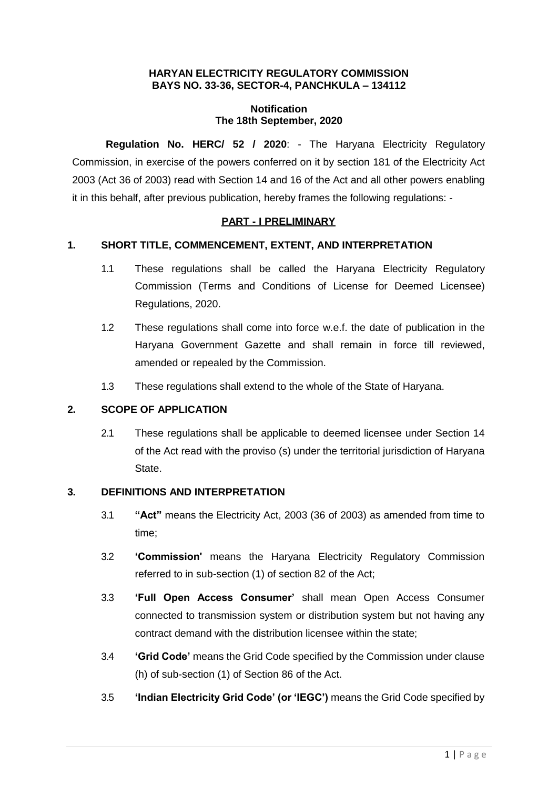### **HARYAN ELECTRICITY REGULATORY COMMISSION BAYS NO. 33-36, SECTOR-4, PANCHKULA – 134112**

#### **Notification The 18th September, 2020**

**Regulation No. HERC/ 52 / 2020**: - The Haryana Electricity Regulatory Commission, in exercise of the powers conferred on it by section 181 of the Electricity Act 2003 (Act 36 of 2003) read with Section 14 and 16 of the Act and all other powers enabling it in this behalf, after previous publication, hereby frames the following regulations: -

## **PART - I PRELIMINARY**

## **1. SHORT TITLE, COMMENCEMENT, EXTENT, AND INTERPRETATION**

- 1.1 These regulations shall be called the Haryana Electricity Regulatory Commission (Terms and Conditions of License for Deemed Licensee) Regulations, 2020.
- 1.2 These regulations shall come into force w.e.f. the date of publication in the Haryana Government Gazette and shall remain in force till reviewed, amended or repealed by the Commission.
- 1.3 These regulations shall extend to the whole of the State of Haryana.

### **2. SCOPE OF APPLICATION**

2.1 These regulations shall be applicable to deemed licensee under Section 14 of the Act read with the proviso (s) under the territorial jurisdiction of Haryana State.

### **3. DEFINITIONS AND INTERPRETATION**

- 3.1 **"Act"** means the Electricity Act, 2003 (36 of 2003) as amended from time to time;
- 3.2 **'Commission'** means the Haryana Electricity Regulatory Commission referred to in sub-section (1) of section 82 of the Act;
- 3.3 **'Full Open Access Consumer'** shall mean Open Access Consumer connected to transmission system or distribution system but not having any contract demand with the distribution licensee within the state;
- 3.4 **'Grid Code'** means the Grid Code specified by the Commission under clause (h) of sub-section (1) of Section 86 of the Act.
- 3.5 **'Indian Electricity Grid Code' (or 'IEGC')** means the Grid Code specified by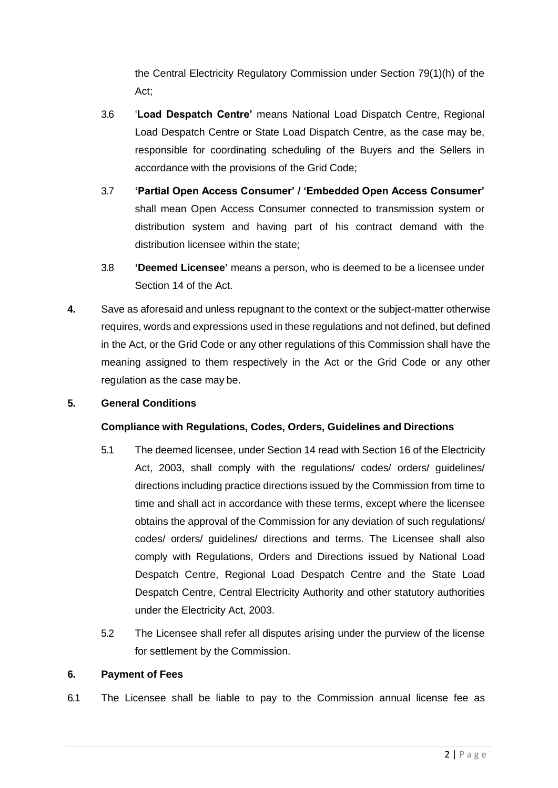the Central Electricity Regulatory Commission under Section 79(1)(h) of the Act;

- 3.6 '**Load Despatch Centre'** means National Load Dispatch Centre, Regional Load Despatch Centre or State Load Dispatch Centre, as the case may be, responsible for coordinating scheduling of the Buyers and the Sellers in accordance with the provisions of the Grid Code;
- 3.7 **'Partial Open Access Consumer' / 'Embedded Open Access Consumer'**  shall mean Open Access Consumer connected to transmission system or distribution system and having part of his contract demand with the distribution licensee within the state;
- 3.8 **'Deemed Licensee'** means a person, who is deemed to be a licensee under Section 14 of the Act.
- **4.** Save as aforesaid and unless repugnant to the context or the subject-matter otherwise requires, words and expressions used in these regulations and not defined, but defined in the Act, or the Grid Code or any other regulations of this Commission shall have the meaning assigned to them respectively in the Act or the Grid Code or any other regulation as the case may be.

# **5. General Conditions**

### **Compliance with Regulations, Codes, Orders, Guidelines and Directions**

- 5.1 The deemed licensee, under Section 14 read with Section 16 of the Electricity Act, 2003, shall comply with the regulations/ codes/ orders/ guidelines/ directions including practice directions issued by the Commission from time to time and shall act in accordance with these terms, except where the licensee obtains the approval of the Commission for any deviation of such regulations/ codes/ orders/ guidelines/ directions and terms. The Licensee shall also comply with Regulations, Orders and Directions issued by National Load Despatch Centre, Regional Load Despatch Centre and the State Load Despatch Centre, Central Electricity Authority and other statutory authorities under the Electricity Act, 2003.
- 5.2 The Licensee shall refer all disputes arising under the purview of the license for settlement by the Commission.

### **6. Payment of Fees**

6.1 The Licensee shall be liable to pay to the Commission annual license fee as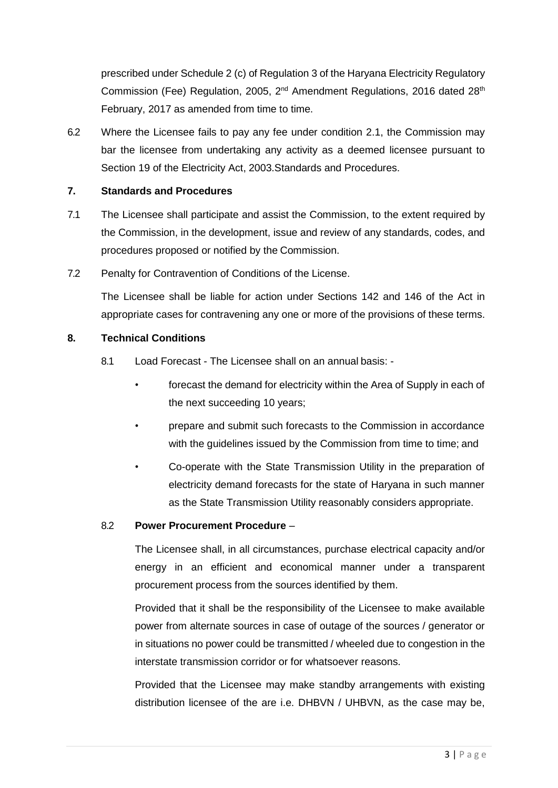prescribed under Schedule 2 (c) of Regulation 3 of the Haryana Electricity Regulatory Commission (Fee) Regulation, 2005,  $2^{nd}$  Amendment Regulations, 2016 dated  $28^{th}$ February, 2017 as amended from time to time.

6.2 Where the Licensee fails to pay any fee under condition 2.1, the Commission may bar the licensee from undertaking any activity as a deemed licensee pursuant to Section 19 of the Electricity Act, 2003.Standards and Procedures.

## **7. Standards and Procedures**

- 7.1 The Licensee shall participate and assist the Commission, to the extent required by the Commission, in the development, issue and review of any standards, codes, and procedures proposed or notified by the Commission.
- 7.2 Penalty for Contravention of Conditions of the License.

The Licensee shall be liable for action under Sections 142 and 146 of the Act in appropriate cases for contravening any one or more of the provisions of these terms.

## **8. Technical Conditions**

- 8.1 Load Forecast The Licensee shall on an annual basis:
	- forecast the demand for electricity within the Area of Supply in each of the next succeeding 10 years;
	- prepare and submit such forecasts to the Commission in accordance with the guidelines issued by the Commission from time to time; and
	- Co-operate with the State Transmission Utility in the preparation of electricity demand forecasts for the state of Haryana in such manner as the State Transmission Utility reasonably considers appropriate.

### 8.2 **Power Procurement Procedure** –

The Licensee shall, in all circumstances, purchase electrical capacity and/or energy in an efficient and economical manner under a transparent procurement process from the sources identified by them.

Provided that it shall be the responsibility of the Licensee to make available power from alternate sources in case of outage of the sources / generator or in situations no power could be transmitted / wheeled due to congestion in the interstate transmission corridor or for whatsoever reasons.

Provided that the Licensee may make standby arrangements with existing distribution licensee of the are i.e. DHBVN / UHBVN, as the case may be,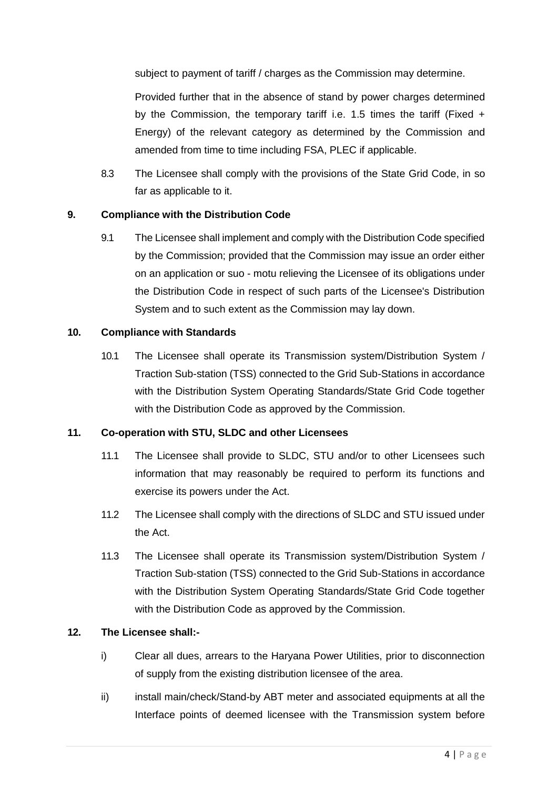subject to payment of tariff / charges as the Commission may determine.

Provided further that in the absence of stand by power charges determined by the Commission, the temporary tariff i.e. 1.5 times the tariff (Fixed + Energy) of the relevant category as determined by the Commission and amended from time to time including FSA, PLEC if applicable.

8.3 The Licensee shall comply with the provisions of the State Grid Code, in so far as applicable to it.

# **9. Compliance with the Distribution Code**

9.1 The Licensee shall implement and comply with the Distribution Code specified by the Commission; provided that the Commission may issue an order either on an application or suo - motu relieving the Licensee of its obligations under the Distribution Code in respect of such parts of the Licensee's Distribution System and to such extent as the Commission may lay down.

### **10. Compliance with Standards**

10.1 The Licensee shall operate its Transmission system/Distribution System / Traction Sub-station (TSS) connected to the Grid Sub-Stations in accordance with the Distribution System Operating Standards/State Grid Code together with the Distribution Code as approved by the Commission.

### **11. Co-operation with STU, SLDC and other Licensees**

- 11.1 The Licensee shall provide to SLDC, STU and/or to other Licensees such information that may reasonably be required to perform its functions and exercise its powers under the Act.
- 11.2 The Licensee shall comply with the directions of SLDC and STU issued under the Act.
- 11.3 The Licensee shall operate its Transmission system/Distribution System / Traction Sub-station (TSS) connected to the Grid Sub-Stations in accordance with the Distribution System Operating Standards/State Grid Code together with the Distribution Code as approved by the Commission.

### **12. The Licensee shall:-**

- i) Clear all dues, arrears to the Haryana Power Utilities, prior to disconnection of supply from the existing distribution licensee of the area.
- ii) install main/check/Stand-by ABT meter and associated equipments at all the Interface points of deemed licensee with the Transmission system before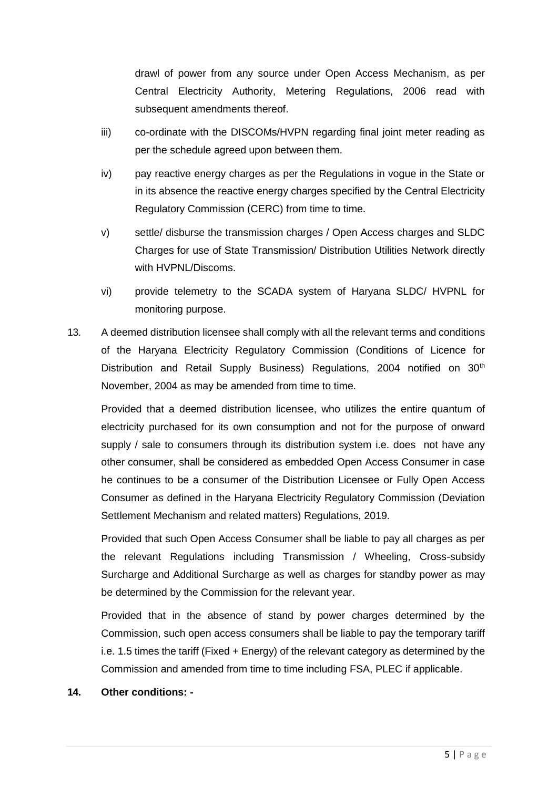drawl of power from any source under Open Access Mechanism, as per Central Electricity Authority, Metering Regulations, 2006 read with subsequent amendments thereof.

- iii) co-ordinate with the DISCOMs/HVPN regarding final joint meter reading as per the schedule agreed upon between them.
- iv) pay reactive energy charges as per the Regulations in vogue in the State or in its absence the reactive energy charges specified by the Central Electricity Regulatory Commission (CERC) from time to time.
- v) settle/ disburse the transmission charges / Open Access charges and SLDC Charges for use of State Transmission/ Distribution Utilities Network directly with HVPNL/Discoms.
- vi) provide telemetry to the SCADA system of Haryana SLDC/ HVPNL for monitoring purpose.
- 13. A deemed distribution licensee shall comply with all the relevant terms and conditions of the Haryana Electricity Regulatory Commission (Conditions of Licence for Distribution and Retail Supply Business) Regulations, 2004 notified on 30<sup>th</sup> November, 2004 as may be amended from time to time.

Provided that a deemed distribution licensee, who utilizes the entire quantum of electricity purchased for its own consumption and not for the purpose of onward supply / sale to consumers through its distribution system i.e. does not have any other consumer, shall be considered as embedded Open Access Consumer in case he continues to be a consumer of the Distribution Licensee or Fully Open Access Consumer as defined in the Haryana Electricity Regulatory Commission (Deviation Settlement Mechanism and related matters) Regulations, 2019.

Provided that such Open Access Consumer shall be liable to pay all charges as per the relevant Regulations including Transmission / Wheeling, Cross-subsidy Surcharge and Additional Surcharge as well as charges for standby power as may be determined by the Commission for the relevant year.

Provided that in the absence of stand by power charges determined by the Commission, such open access consumers shall be liable to pay the temporary tariff i.e. 1.5 times the tariff (Fixed + Energy) of the relevant category as determined by the Commission and amended from time to time including FSA, PLEC if applicable.

### **14. Other conditions: -**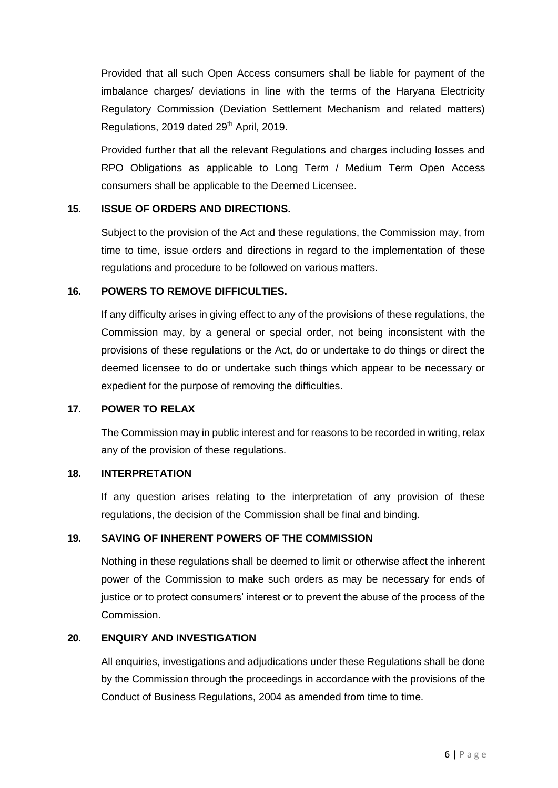Provided that all such Open Access consumers shall be liable for payment of the imbalance charges/ deviations in line with the terms of the Haryana Electricity Regulatory Commission (Deviation Settlement Mechanism and related matters) Regulations, 2019 dated 29<sup>th</sup> April, 2019.

Provided further that all the relevant Regulations and charges including losses and RPO Obligations as applicable to Long Term / Medium Term Open Access consumers shall be applicable to the Deemed Licensee.

## **15. ISSUE OF ORDERS AND DIRECTIONS.**

Subject to the provision of the Act and these regulations, the Commission may, from time to time, issue orders and directions in regard to the implementation of these regulations and procedure to be followed on various matters.

### **16. POWERS TO REMOVE DIFFICULTIES.**

If any difficulty arises in giving effect to any of the provisions of these regulations, the Commission may, by a general or special order, not being inconsistent with the provisions of these regulations or the Act, do or undertake to do things or direct the deemed licensee to do or undertake such things which appear to be necessary or expedient for the purpose of removing the difficulties.

### **17. POWER TO RELAX**

The Commission may in public interest and for reasons to be recorded in writing, relax any of the provision of these regulations.

### **18. INTERPRETATION**

If any question arises relating to the interpretation of any provision of these regulations, the decision of the Commission shall be final and binding.

# **19. SAVING OF INHERENT POWERS OF THE COMMISSION**

Nothing in these regulations shall be deemed to limit or otherwise affect the inherent power of the Commission to make such orders as may be necessary for ends of justice or to protect consumers' interest or to prevent the abuse of the process of the Commission.

### **20. ENQUIRY AND INVESTIGATION**

All enquiries, investigations and adjudications under these Regulations shall be done by the Commission through the proceedings in accordance with the provisions of the Conduct of Business Regulations, 2004 as amended from time to time.